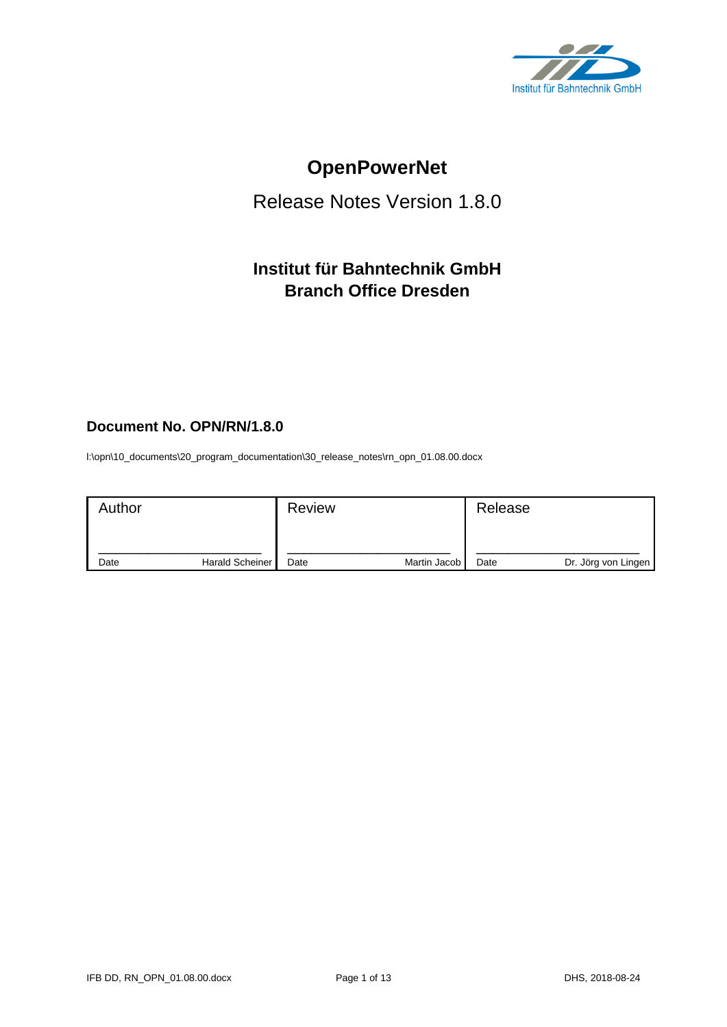

# **OpenPowerNet**

# Release Notes Version 1.8.0

# **Institut für Bahntechnik GmbH Branch Office Dresden**

# **Document No. OPN/RN/1.8.0**

l:\opn\10\_documents\20\_program\_documentation\30\_release\_notes\rn\_opn\_01.08.00.docx

| Author |                 | <b>Review</b> |              | Release |                     |
|--------|-----------------|---------------|--------------|---------|---------------------|
| Date   | Harald Scheiner | Date          | Martin Jacob | Date    | Dr. Jörg von Lingen |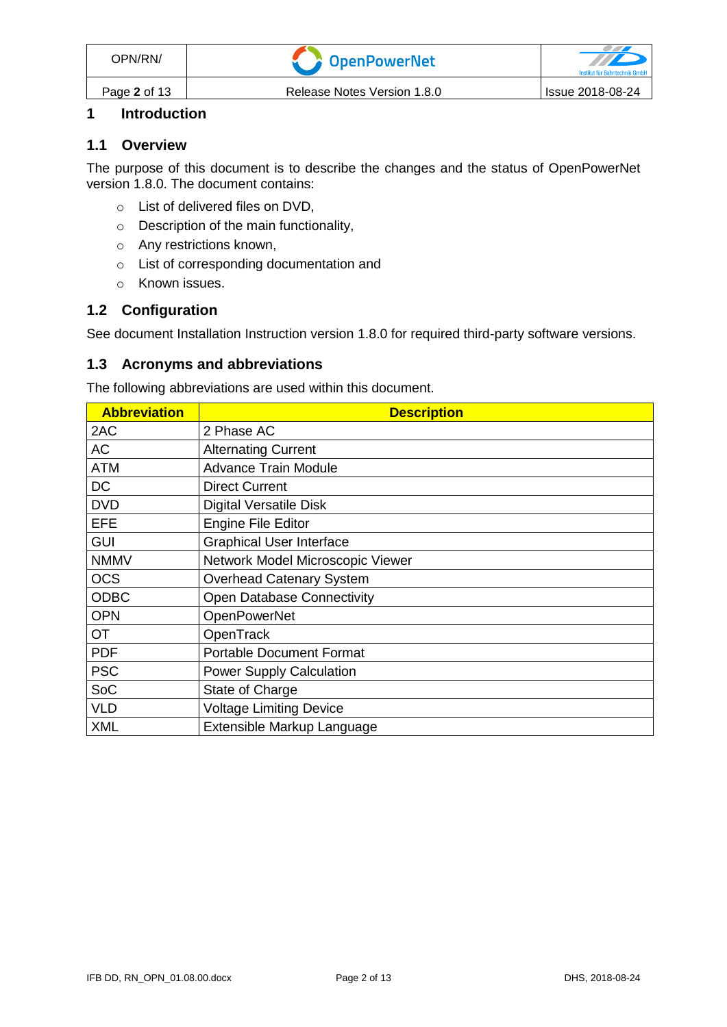# **1 Introduction**

#### **1.1 Overview**

The purpose of this document is to describe the changes and the status of OpenPowerNet version 1.8.0. The document contains:

- o List of delivered files on DVD,
- o Description of the main functionality,
- o Any restrictions known,
- o List of corresponding documentation and
- o Known issues.

# **1.2 Configuration**

See document Installation Instruction version 1.8.0 for required third-party software versions.

## **1.3 Acronyms and abbreviations**

The following abbreviations are used within this document.

| <b>Abbreviation</b> | <b>Description</b>                |
|---------------------|-----------------------------------|
| 2AC                 | 2 Phase AC                        |
| <b>AC</b>           | <b>Alternating Current</b>        |
| <b>ATM</b>          | <b>Advance Train Module</b>       |
| <b>DC</b>           | <b>Direct Current</b>             |
| <b>DVD</b>          | <b>Digital Versatile Disk</b>     |
| <b>EFE</b>          | <b>Engine File Editor</b>         |
| <b>GUI</b>          | <b>Graphical User Interface</b>   |
| <b>NMMV</b>         | Network Model Microscopic Viewer  |
| <b>OCS</b>          | <b>Overhead Catenary System</b>   |
| <b>ODBC</b>         | <b>Open Database Connectivity</b> |
| <b>OPN</b>          | <b>OpenPowerNet</b>               |
| <b>OT</b>           | OpenTrack                         |
| <b>PDF</b>          | <b>Portable Document Format</b>   |
| <b>PSC</b>          | <b>Power Supply Calculation</b>   |
| SoC                 | State of Charge                   |
| <b>VLD</b>          | <b>Voltage Limiting Device</b>    |
| <b>XML</b>          | Extensible Markup Language        |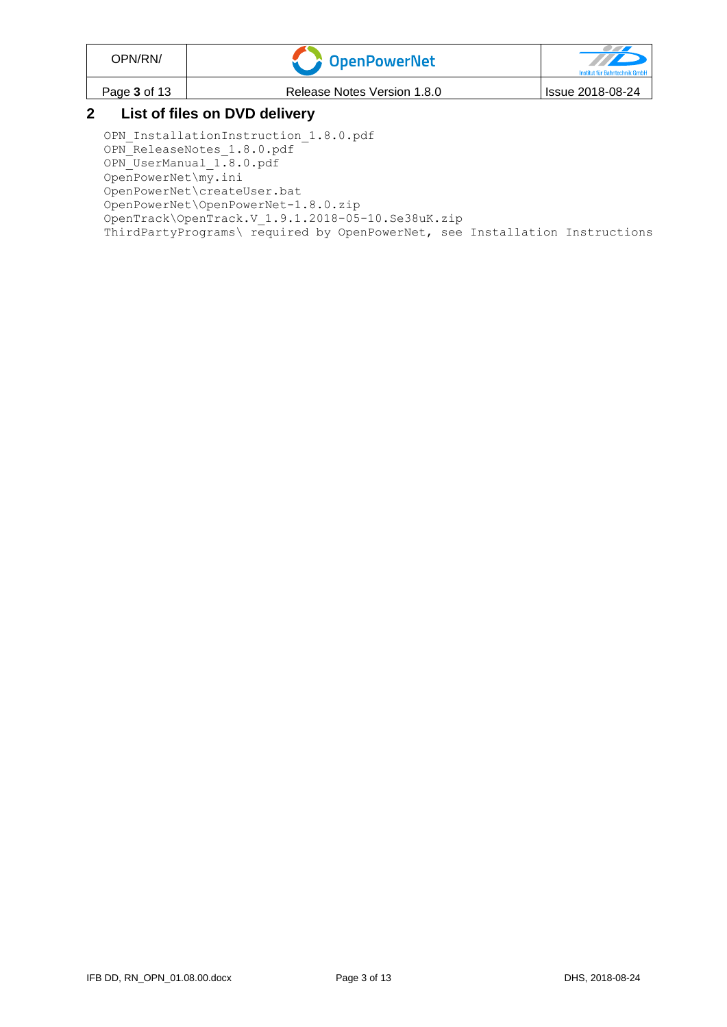| OPN/RN/      | CopenPowerNet                                                                           | Institut für Bahntechnik GmbH |
|--------------|-----------------------------------------------------------------------------------------|-------------------------------|
| Page 3 of 13 | Release Notes Version 1.8.0                                                             | Issue 2018-08-24              |
|              | $\mathbf{r}$ , $\mathbf{r}$ , $\mathbf{r}$ , $\mathbf{r}$ , $\mathbf{r}$ , $\mathbf{r}$ |                               |

## **2 List of files on DVD delivery**

OPN InstallationInstruction 1.8.0.pdf OPN ReleaseNotes 1.8.0.pdf OPN UserManual 1.8.0.pdf OpenPowerNet\my.ini OpenPowerNet\createUser.bat OpenPowerNet\OpenPowerNet-1.8.0.zip OpenTrack\OpenTrack.V\_1.9.1.2018-05-10.Se38uK.zip ThirdPartyPrograms\ required by OpenPowerNet, see Installation Instructions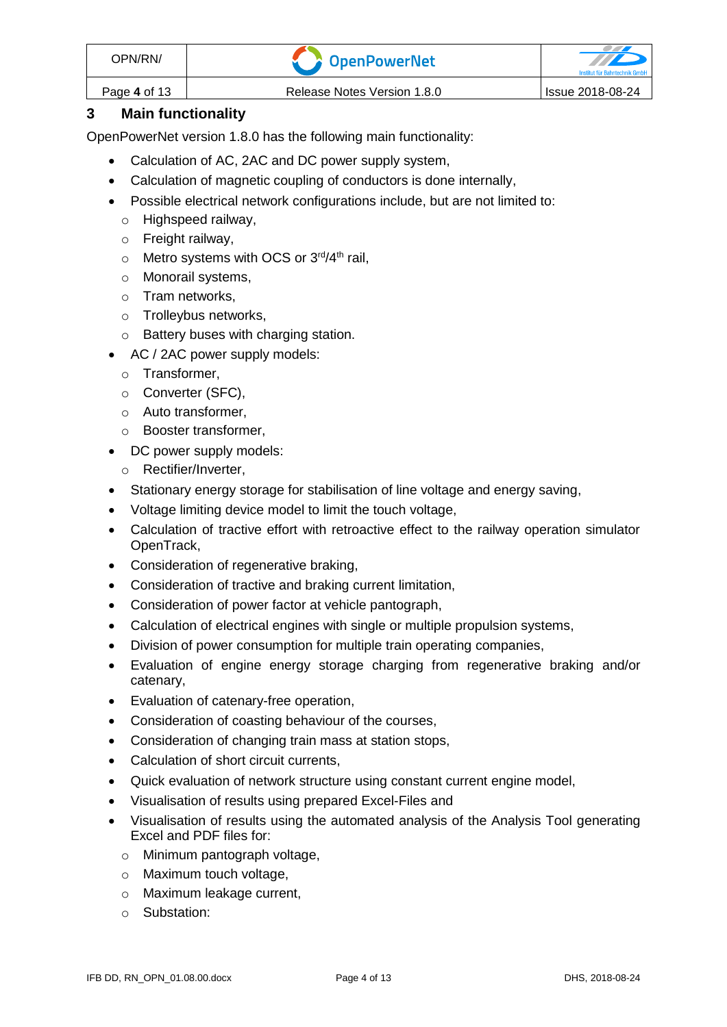| OPN/RN/      | <b>V C</b> OpenPowerNet     | <b>Institut für Bahntechnik Gmb!</b> |
|--------------|-----------------------------|--------------------------------------|
| Page 4 of 13 | Release Notes Version 1.8.0 | <b>Issue 2018-08-24</b>              |

# **3 Main functionality**

OpenPowerNet version 1.8.0 has the following main functionality:

- Calculation of AC, 2AC and DC power supply system,
- Calculation of magnetic coupling of conductors is done internally,
- Possible electrical network configurations include, but are not limited to:
	- o Highspeed railway,
	- o Freight railway,
	- $\circ$  Metro systems with OCS or 3<sup>rd</sup>/4<sup>th</sup> rail,
	- o Monorail systems,
	- o Tram networks,
	- o Trolleybus networks,
	- o Battery buses with charging station.
- AC / 2AC power supply models:
	- o Transformer,
	- o Converter (SFC),
	- o Auto transformer,
	- o Booster transformer,
- DC power supply models:
	- o Rectifier/Inverter,
- Stationary energy storage for stabilisation of line voltage and energy saving,
- Voltage limiting device model to limit the touch voltage,
- Calculation of tractive effort with retroactive effect to the railway operation simulator OpenTrack,
- Consideration of regenerative braking,
- Consideration of tractive and braking current limitation,
- Consideration of power factor at vehicle pantograph,
- Calculation of electrical engines with single or multiple propulsion systems,
- Division of power consumption for multiple train operating companies,
- Evaluation of engine energy storage charging from regenerative braking and/or catenary,
- Evaluation of catenary-free operation,
- Consideration of coasting behaviour of the courses,
- Consideration of changing train mass at station stops,
- Calculation of short circuit currents,
- Quick evaluation of network structure using constant current engine model,
- Visualisation of results using prepared Excel-Files and
- Visualisation of results using the automated analysis of the Analysis Tool generating Excel and PDF files for:
	- o Minimum pantograph voltage,
	- o Maximum touch voltage,
	- o Maximum leakage current,
	- o Substation: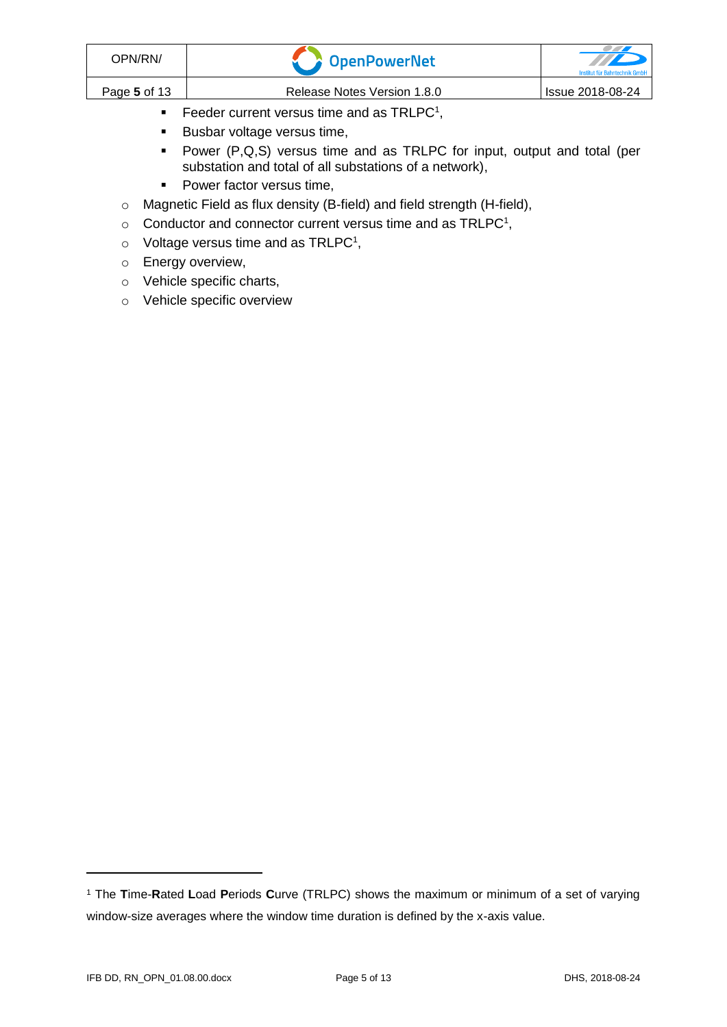| OPN/RN/      | <b>T</b> OpenPowerNet                      | TTE<br>Institut für Bahntechnik GmbH |
|--------------|--------------------------------------------|--------------------------------------|
| Page 5 of 13 | Release Notes Version 1.8.0                | <b>Issue 2018-08-24</b>              |
|              | $\pm$ $\sim$ $\cdot$ $\sim$ $\sim$ $\cdot$ |                                      |

- <span id="page-4-0"></span> $\blacksquare$  Feeder current versus time and as TRLPC<sup>1</sup>,
- Busbar voltage versus time,
- Power (P,Q,S) versus time and as TRLPC for input, output and total (per substation and total of all substations of a network),
- Power factor versus time,
- o Magnetic Field as flux density (B-field) and field strength (H-field),
- $\circ$  [C](#page-4-0)onductor and connector current versus time and as TRLPC<sup>1</sup>,
- $\circ$  Voltage versus time and as TRLPC<sup>[1](#page-4-0)</sup>,
- o Energy overview,
- o Vehicle specific charts,
- o Vehicle specific overview

<sup>1</sup> The **T**ime-**R**ated **L**oad **P**eriods **C**urve (TRLPC) shows the maximum or minimum of a set of varying window-size averages where the window time duration is defined by the x-axis value.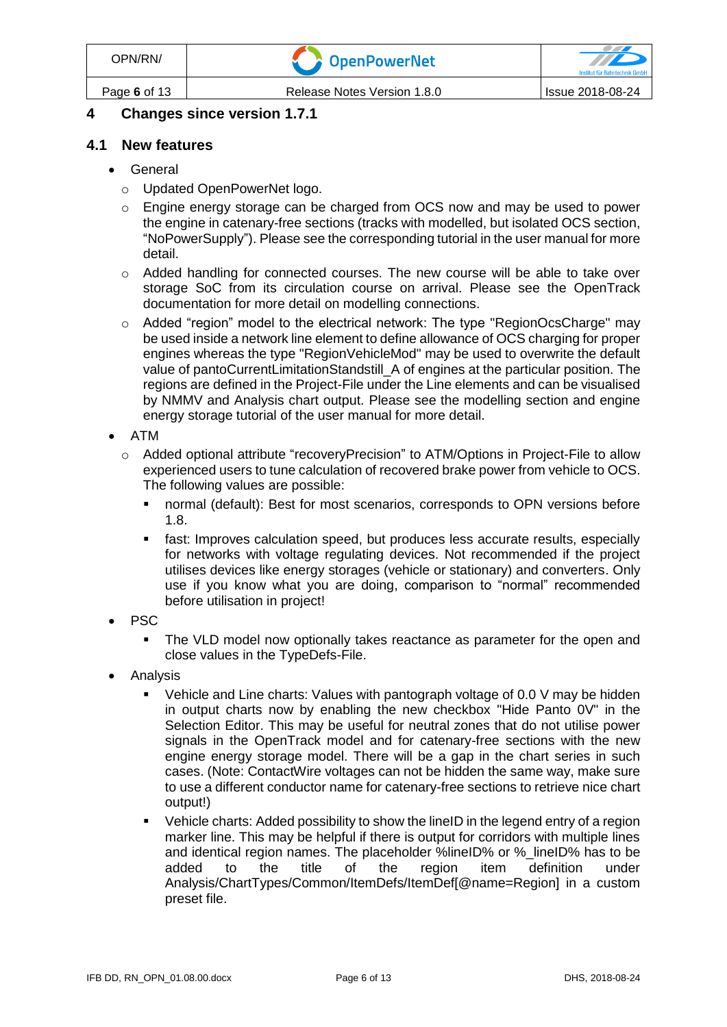# **4 Changes since version 1.7.1**

#### **4.1 New features**

- General
	- o Updated OpenPowerNet logo.
	- o Engine energy storage can be charged from OCS now and may be used to power the engine in catenary-free sections (tracks with modelled, but isolated OCS section, "NoPowerSupply"). Please see the corresponding tutorial in the user manual for more detail.
	- o Added handling for connected courses. The new course will be able to take over storage SoC from its circulation course on arrival. Please see the OpenTrack documentation for more detail on modelling connections.
	- o Added "region" model to the electrical network: The type "RegionOcsCharge" may be used inside a network line element to define allowance of OCS charging for proper engines whereas the type "RegionVehicleMod" may be used to overwrite the default value of pantoCurrentLimitationStandstill\_A of engines at the particular position. The regions are defined in the Project-File under the Line elements and can be visualised by NMMV and Analysis chart output. Please see the modelling section and engine energy storage tutorial of the user manual for more detail.
- ATM
	- o Added optional attribute "recoveryPrecision" to ATM/Options in Project-File to allow experienced users to tune calculation of recovered brake power from vehicle to OCS. The following values are possible:
		- normal (default): Best for most scenarios, corresponds to OPN versions before 1.8.
		- fast: Improves calculation speed, but produces less accurate results, especially for networks with voltage regulating devices. Not recommended if the project utilises devices like energy storages (vehicle or stationary) and converters. Only use if you know what you are doing, comparison to "normal" recommended before utilisation in project!
- PSC
	- The VLD model now optionally takes reactance as parameter for the open and close values in the TypeDefs-File.
- Analysis
	- Vehicle and Line charts: Values with pantograph voltage of 0.0 V may be hidden in output charts now by enabling the new checkbox "Hide Panto 0V" in the Selection Editor. This may be useful for neutral zones that do not utilise power signals in the OpenTrack model and for catenary-free sections with the new engine energy storage model. There will be a gap in the chart series in such cases. (Note: ContactWire voltages can not be hidden the same way, make sure to use a different conductor name for catenary-free sections to retrieve nice chart output!)
	- Vehicle charts: Added possibility to show the lineID in the legend entry of a region marker line. This may be helpful if there is output for corridors with multiple lines and identical region names. The placeholder %lineID% or %\_lineID% has to be added to the title of the region item definition under Analysis/ChartTypes/Common/ItemDefs/ItemDef[@name=Region] in a custom preset file.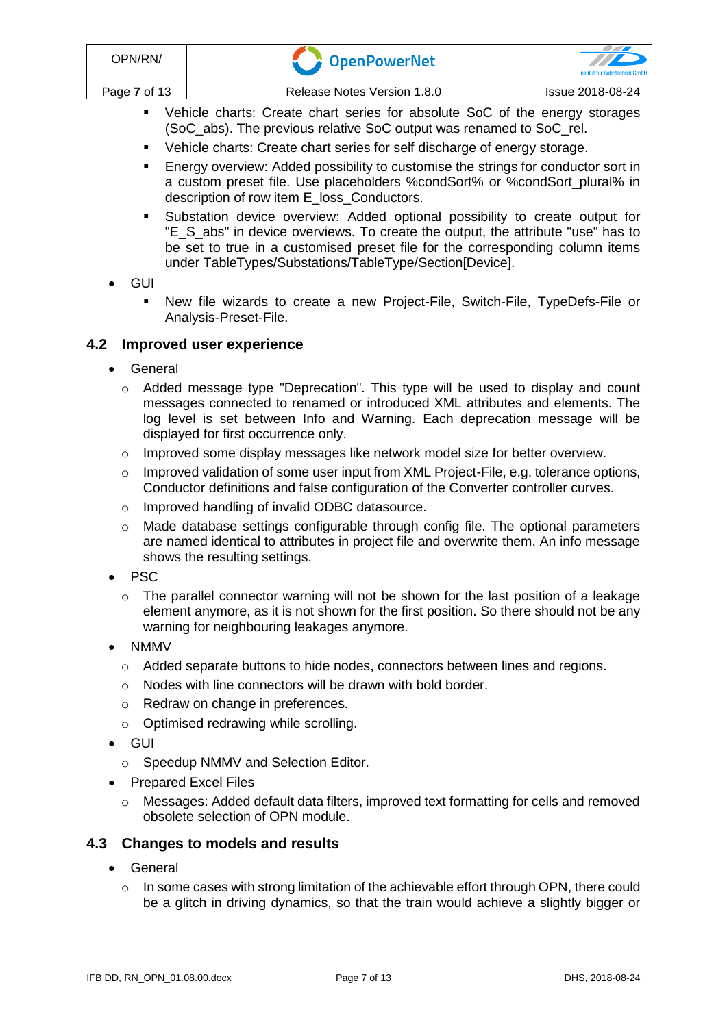- Vehicle charts: Create chart series for absolute SoC of the energy storages (SoC\_abs). The previous relative SoC output was renamed to SoC\_rel.
- Vehicle charts: Create chart series for self discharge of energy storage.
- **Energy overview: Added possibility to customise the strings for conductor sort in** a custom preset file. Use placeholders %condSort% or %condSort plural% in description of row item E\_loss\_Conductors.
- Substation device overview: Added optional possibility to create output for "E\_S\_abs" in device overviews. To create the output, the attribute "use" has to be set to true in a customised preset file for the corresponding column items under TableTypes/Substations/TableType/Section[Device].
- GUI
	- New file wizards to create a new Project-File, Switch-File, TypeDefs-File or Analysis-Preset-File.

# **4.2 Improved user experience**

- General
	- o Added message type "Deprecation". This type will be used to display and count messages connected to renamed or introduced XML attributes and elements. The log level is set between Info and Warning. Each deprecation message will be displayed for first occurrence only.
	- o Improved some display messages like network model size for better overview.
	- $\circ$  Improved validation of some user input from XML Project-File, e.g. tolerance options, Conductor definitions and false configuration of the Converter controller curves.
	- o Improved handling of invalid ODBC datasource.
	- o Made database settings configurable through config file. The optional parameters are named identical to attributes in project file and overwrite them. An info message shows the resulting settings.
- PSC
	- $\circ$  The parallel connector warning will not be shown for the last position of a leakage element anymore, as it is not shown for the first position. So there should not be any warning for neighbouring leakages anymore.
- NMMV
	- $\circ$  Added separate buttons to hide nodes, connectors between lines and regions.
	- o Nodes with line connectors will be drawn with bold border.
	- o Redraw on change in preferences.
	- o Optimised redrawing while scrolling.
- GUI
	- o Speedup NMMV and Selection Editor.
- Prepared Excel Files
	- $\circ$  Messages: Added default data filters, improved text formatting for cells and removed obsolete selection of OPN module.

#### **4.3 Changes to models and results**

- General
	- o In some cases with strong limitation of the achievable effort through OPN, there could be a glitch in driving dynamics, so that the train would achieve a slightly bigger or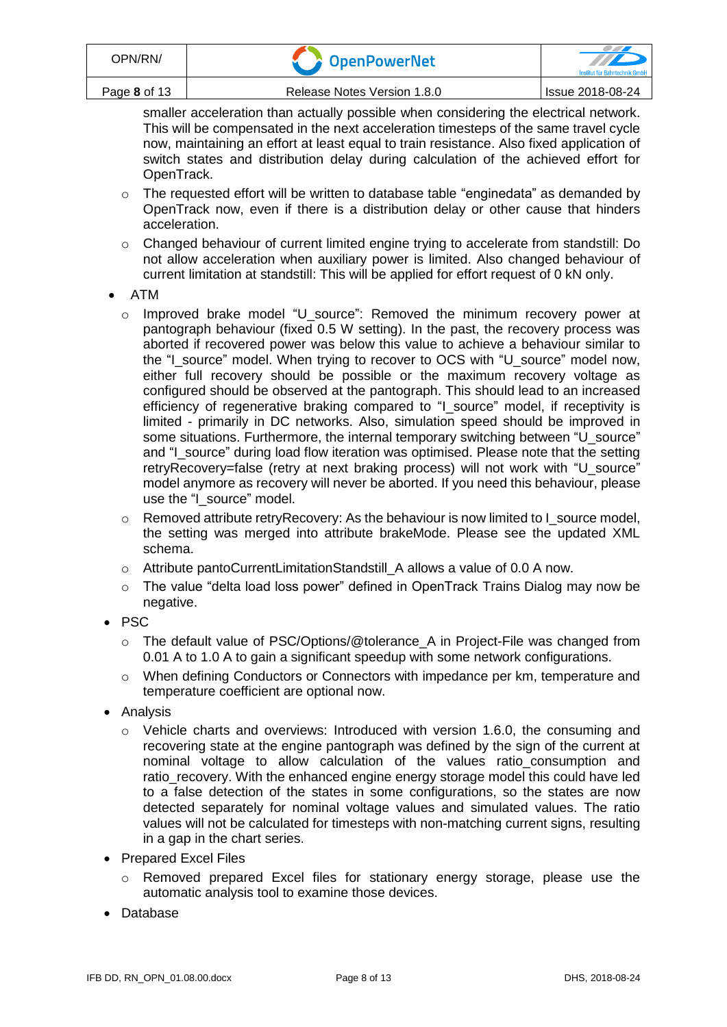| OPN/RN/      | <b>DenPowerNet</b>          | <b>Institut für Bahntechnik GmhF</b> |
|--------------|-----------------------------|--------------------------------------|
| Page 8 of 13 | Release Notes Version 1.8.0 | Issue 2018-08-24                     |

smaller acceleration than actually possible when considering the electrical network. This will be compensated in the next acceleration timesteps of the same travel cycle now, maintaining an effort at least equal to train resistance. Also fixed application of switch states and distribution delay during calculation of the achieved effort for OpenTrack.

- $\circ$  The requested effort will be written to database table "enginedata" as demanded by OpenTrack now, even if there is a distribution delay or other cause that hinders acceleration.
- o Changed behaviour of current limited engine trying to accelerate from standstill: Do not allow acceleration when auxiliary power is limited. Also changed behaviour of current limitation at standstill: This will be applied for effort request of 0 kN only.
- ATM
	- o Improved brake model "U\_source": Removed the minimum recovery power at pantograph behaviour (fixed 0.5 W setting). In the past, the recovery process was aborted if recovered power was below this value to achieve a behaviour similar to the "I\_source" model. When trying to recover to OCS with "U\_source" model now, either full recovery should be possible or the maximum recovery voltage as configured should be observed at the pantograph. This should lead to an increased efficiency of regenerative braking compared to "I\_source" model, if receptivity is limited - primarily in DC networks. Also, simulation speed should be improved in some situations. Furthermore, the internal temporary switching between "U\_source" and "I\_source" during load flow iteration was optimised. Please note that the setting retryRecovery=false (retry at next braking process) will not work with "U\_source" model anymore as recovery will never be aborted. If you need this behaviour, please use the "I\_source" model.
	- o Removed attribute retryRecovery: As the behaviour is now limited to I\_source model, the setting was merged into attribute brakeMode. Please see the updated XML schema.
	- o Attribute pantoCurrentLimitationStandstill\_A allows a value of 0.0 A now.
	- $\circ$  The value "delta load loss power" defined in OpenTrack Trains Dialog may now be negative.
- PSC
	- o The default value of PSC/Options/@tolerance\_A in Project-File was changed from 0.01 A to 1.0 A to gain a significant speedup with some network configurations.
	- o When defining Conductors or Connectors with impedance per km, temperature and temperature coefficient are optional now.
- Analysis
	- o Vehicle charts and overviews: Introduced with version 1.6.0, the consuming and recovering state at the engine pantograph was defined by the sign of the current at nominal voltage to allow calculation of the values ratio\_consumption and ratio\_recovery. With the enhanced engine energy storage model this could have led to a false detection of the states in some configurations, so the states are now detected separately for nominal voltage values and simulated values. The ratio values will not be calculated for timesteps with non-matching current signs, resulting in a gap in the chart series.
- Prepared Excel Files
	- o Removed prepared Excel files for stationary energy storage, please use the automatic analysis tool to examine those devices.
- Database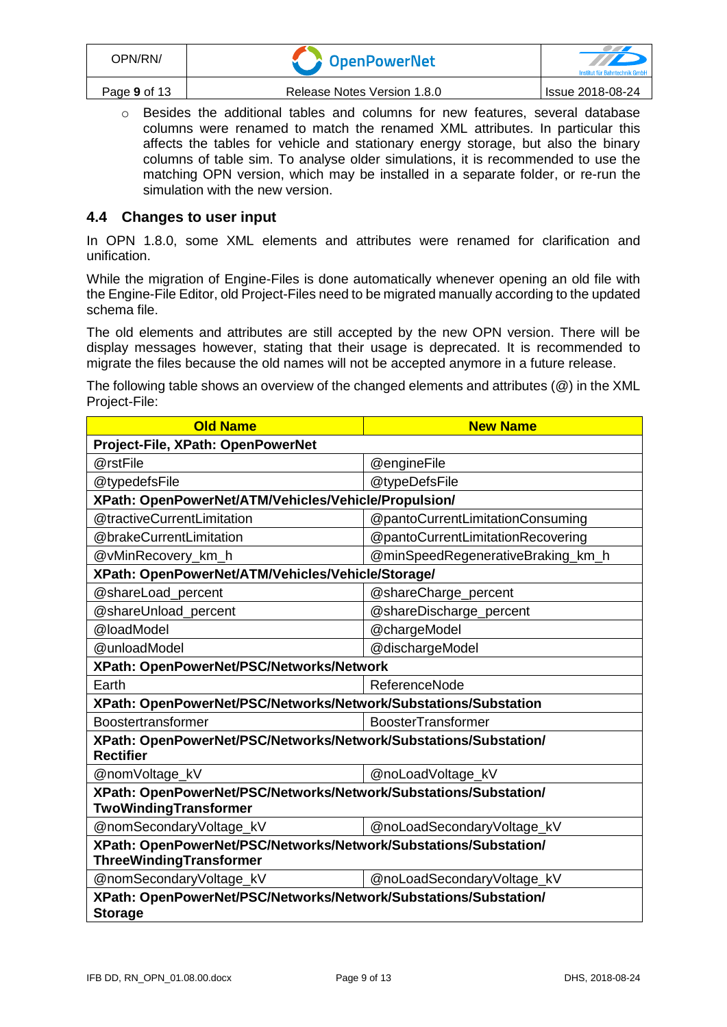| OPN/RN/      | CopenPowerNet               | <u>and the second contract of the second second in the second second second in the second second second in the second second second in the second second second second in the second second second second second second second s</u><br>Institut für Bahntechnik GmbF |
|--------------|-----------------------------|-----------------------------------------------------------------------------------------------------------------------------------------------------------------------------------------------------------------------------------------------------------------------|
| Page 9 of 13 | Release Notes Version 1.8.0 | <b>Issue 2018-08-24</b>                                                                                                                                                                                                                                               |

 $\circ$  Besides the additional tables and columns for new features, several database columns were renamed to match the renamed XML attributes. In particular this affects the tables for vehicle and stationary energy storage, but also the binary columns of table sim. To analyse older simulations, it is recommended to use the matching OPN version, which may be installed in a separate folder, or re-run the simulation with the new version.

## **4.4 Changes to user input**

In OPN 1.8.0, some XML elements and attributes were renamed for clarification and unification.

While the migration of Engine-Files is done automatically whenever opening an old file with the Engine-File Editor, old Project-Files need to be migrated manually according to the updated schema file.

The old elements and attributes are still accepted by the new OPN version. There will be display messages however, stating that their usage is deprecated. It is recommended to migrate the files because the old names will not be accepted anymore in a future release.

The following table shows an overview of the changed elements and attributes (@) in the XML Project-File:

| <b>Old Name</b><br><b>New Name</b>                               |                                   |  |  |  |
|------------------------------------------------------------------|-----------------------------------|--|--|--|
| Project-File, XPath: OpenPowerNet                                |                                   |  |  |  |
| @rstFile                                                         | @engineFile                       |  |  |  |
| @typedefsFile                                                    | @typeDefsFile                     |  |  |  |
| XPath: OpenPowerNet/ATM/Vehicles/Vehicle/Propulsion/             |                                   |  |  |  |
| @tractiveCurrentLimitation                                       | @pantoCurrentLimitationConsuming  |  |  |  |
| @brakeCurrentLimitation                                          | @pantoCurrentLimitationRecovering |  |  |  |
| @vMinRecovery_km_h                                               | @minSpeedRegenerativeBraking_km_h |  |  |  |
| XPath: OpenPowerNet/ATM/Vehicles/Vehicle/Storage/                |                                   |  |  |  |
| @shareLoad_percent                                               | @shareCharge_percent              |  |  |  |
| @shareUnload_percent                                             | @shareDischarge_percent           |  |  |  |
| @loadModel                                                       | @chargeModel                      |  |  |  |
| @unloadModel<br>@dischargeModel                                  |                                   |  |  |  |
| XPath: OpenPowerNet/PSC/Networks/Network                         |                                   |  |  |  |
| ReferenceNode<br>Earth                                           |                                   |  |  |  |
| XPath: OpenPowerNet/PSC/Networks/Network/Substations/Substation  |                                   |  |  |  |
| Boostertransformer<br><b>BoosterTransformer</b>                  |                                   |  |  |  |
| XPath: OpenPowerNet/PSC/Networks/Network/Substations/Substation/ |                                   |  |  |  |
| <b>Rectifier</b>                                                 |                                   |  |  |  |
| @nomVoltage_kV                                                   | @noLoadVoltage_kV                 |  |  |  |
| XPath: OpenPowerNet/PSC/Networks/Network/Substations/Substation/ |                                   |  |  |  |
| TwoWindingTransformer                                            |                                   |  |  |  |
| @nomSecondaryVoltage_kV<br>@noLoadSecondaryVoltage_kV            |                                   |  |  |  |
| XPath: OpenPowerNet/PSC/Networks/Network/Substations/Substation/ |                                   |  |  |  |
| ThreeWindingTransformer                                          |                                   |  |  |  |
| @nomSecondaryVoltage_kV                                          | @noLoadSecondaryVoltage_kV        |  |  |  |
| XPath: OpenPowerNet/PSC/Networks/Network/Substations/Substation/ |                                   |  |  |  |
| <b>Storage</b>                                                   |                                   |  |  |  |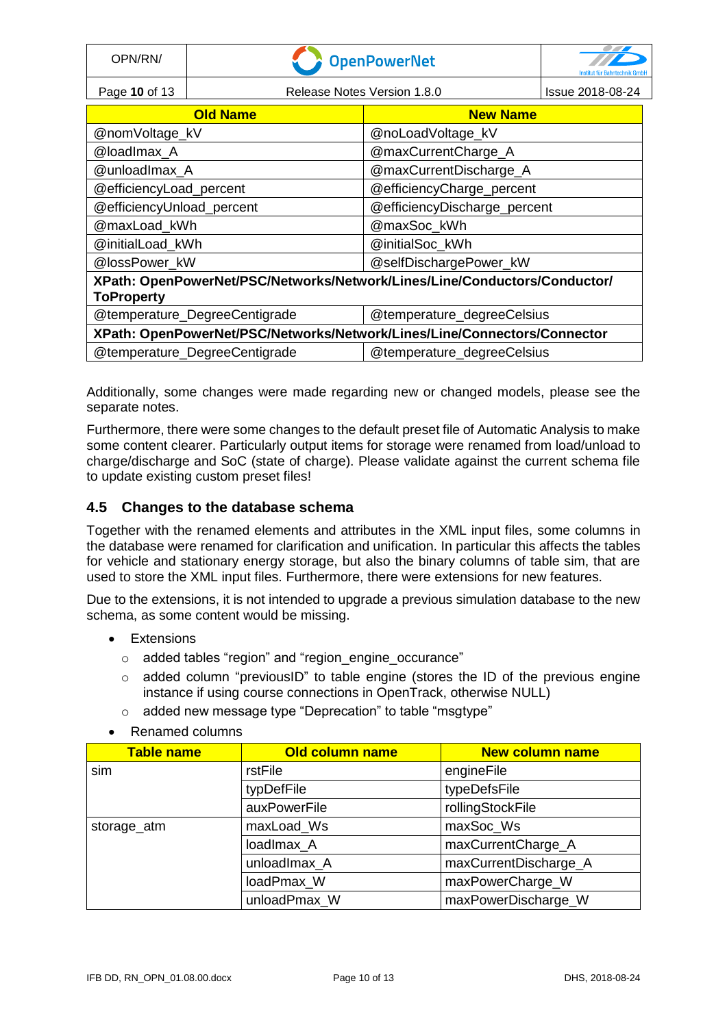| OPN/RN/                                                                  | <b>OpenPowerNet</b>                                         |                                                                           |                  |
|--------------------------------------------------------------------------|-------------------------------------------------------------|---------------------------------------------------------------------------|------------------|
| Page 10 of 13                                                            | Release Notes Version 1.8.0                                 |                                                                           | Issue 2018-08-24 |
|                                                                          | <b>Old Name</b><br><b>New Name</b>                          |                                                                           |                  |
| @nomVoltage_kV                                                           |                                                             | @noLoadVoltage_kV                                                         |                  |
| @loadlmax A                                                              |                                                             | @maxCurrentCharge_A                                                       |                  |
| @unloadImax_A                                                            |                                                             | @maxCurrentDischarge_A                                                    |                  |
| @efficiencyLoad_percent                                                  |                                                             | @efficiencyCharge_percent                                                 |                  |
| @efficiencyUnload_percent                                                |                                                             | @efficiencyDischarge_percent                                              |                  |
| @maxLoad_kWh                                                             |                                                             | @maxSoc_kWh                                                               |                  |
| @initialLoad kWh                                                         |                                                             | @initialSoc_kWh                                                           |                  |
|                                                                          | @lossPower kW<br>@selfDischargePower_kW                     |                                                                           |                  |
|                                                                          |                                                             | XPath: OpenPowerNet/PSC/Networks/Network/Lines/Line/Conductors/Conductor/ |                  |
| <b>ToProperty</b>                                                        |                                                             |                                                                           |                  |
|                                                                          | @temperature_DegreeCentigrade<br>@temperature_degreeCelsius |                                                                           |                  |
| XPath: OpenPowerNet/PSC/Networks/Network/Lines/Line/Connectors/Connector |                                                             |                                                                           |                  |
| @temperature_DegreeCentigrade                                            |                                                             | @temperature_degreeCelsius                                                |                  |

Additionally, some changes were made regarding new or changed models, please see the separate notes.

Furthermore, there were some changes to the default preset file of Automatic Analysis to make some content clearer. Particularly output items for storage were renamed from load/unload to charge/discharge and SoC (state of charge). Please validate against the current schema file to update existing custom preset files!

## **4.5 Changes to the database schema**

Together with the renamed elements and attributes in the XML input files, some columns in the database were renamed for clarification and unification. In particular this affects the tables for vehicle and stationary energy storage, but also the binary columns of table sim, that are used to store the XML input files. Furthermore, there were extensions for new features.

Due to the extensions, it is not intended to upgrade a previous simulation database to the new schema, as some content would be missing.

- Extensions
	- o added tables "region" and "region\_engine\_occurance"
	- o added column "previousID" to table engine (stores the ID of the previous engine instance if using course connections in OpenTrack, otherwise NULL)
	- o added new message type "Deprecation" to table "msgtype"
- Renamed columns

| <b>Table name</b> | Old column name | <b>New column name</b> |
|-------------------|-----------------|------------------------|
| sim               | rstFile         | engineFile             |
|                   | typDefFile      | typeDefsFile           |
|                   | auxPowerFile    | rollingStockFile       |
| storage_atm       | maxLoad_Ws      | maxSoc_Ws              |
|                   | loadlmax A      | maxCurrentCharge_A     |
|                   | unloadImax A    | maxCurrentDischarge_A  |
|                   | loadPmax_W      | maxPowerCharge_W       |
|                   | unloadPmax_W    | maxPowerDischarge_W    |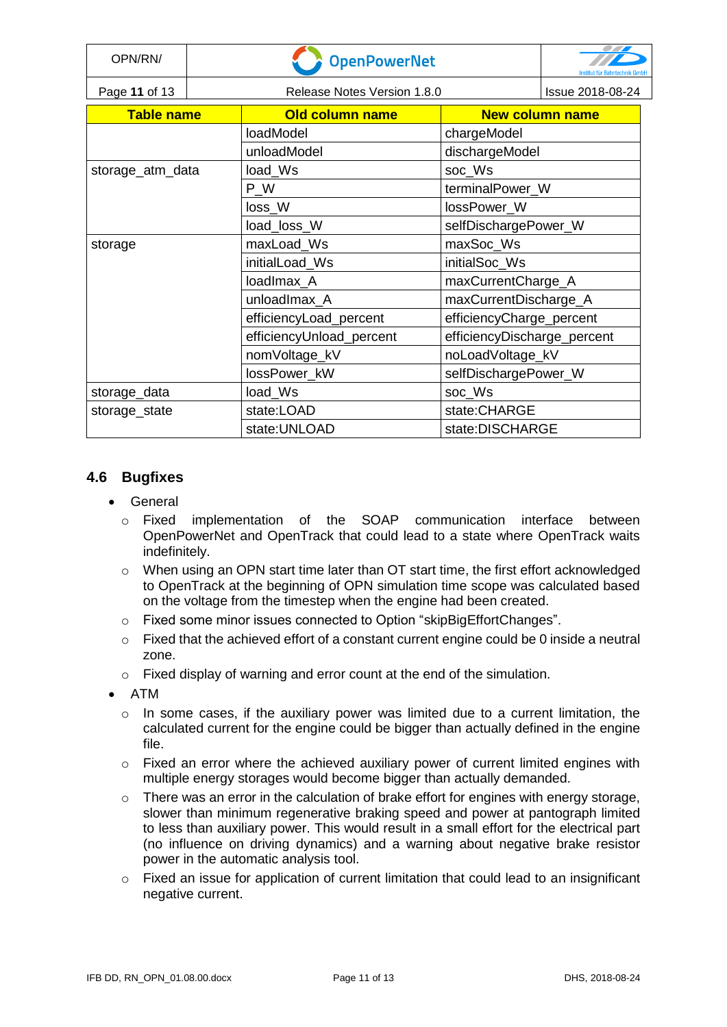| OPN/RN/           | <b>OpenPowerNet</b> |                             |                             | echnik GmbF      |
|-------------------|---------------------|-----------------------------|-----------------------------|------------------|
| Page 11 of 13     |                     | Release Notes Version 1.8.0 |                             | Issue 2018-08-24 |
| <b>Table name</b> |                     | <b>Old column name</b>      | <b>New column name</b>      |                  |
|                   |                     | loadModel                   | chargeModel                 |                  |
|                   |                     | unloadModel                 | dischargeModel              |                  |
| storage_atm_data  |                     | load_Ws                     | soc_Ws                      |                  |
|                   |                     | P W                         | terminalPower_W             |                  |
|                   |                     | loss_W                      | lossPower_W                 |                  |
|                   |                     | load_loss_W                 | selfDischargePower_W        |                  |
| storage           |                     | maxLoad_Ws                  | maxSoc_Ws                   |                  |
|                   |                     | initialLoad Ws              | initialSoc_Ws               |                  |
|                   |                     | loadImax A                  | maxCurrentCharge_A          |                  |
|                   |                     | unloadImax_A                | maxCurrentDischarge_A       |                  |
|                   |                     | efficiencyLoad_percent      | efficiencyCharge_percent    |                  |
|                   |                     | efficiencyUnload_percent    | efficiencyDischarge_percent |                  |
|                   |                     | nomVoltage_kV               | noLoadVoltage_kV            |                  |
|                   |                     | lossPower_kW                | selfDischargePower_W        |                  |
| storage_data      |                     | load_Ws                     | soc_Ws                      |                  |
| storage_state     |                     | state:LOAD                  | state:CHARGE                |                  |
|                   |                     | state: UNLOAD               | state:DISCHARGE             |                  |

# **4.6 Bugfixes**

- General
	- o Fixed implementation of the SOAP communication interface between OpenPowerNet and OpenTrack that could lead to a state where OpenTrack waits indefinitely.
	- $\circ$  When using an OPN start time later than OT start time, the first effort acknowledged to OpenTrack at the beginning of OPN simulation time scope was calculated based on the voltage from the timestep when the engine had been created.
	- o Fixed some minor issues connected to Option "skipBigEffortChanges".
	- $\circ$  Fixed that the achieved effort of a constant current engine could be 0 inside a neutral zone.
	- $\circ$  Fixed display of warning and error count at the end of the simulation.
- ATM
	- o In some cases, if the auxiliary power was limited due to a current limitation, the calculated current for the engine could be bigger than actually defined in the engine file.
	- $\circ$  Fixed an error where the achieved auxiliary power of current limited engines with multiple energy storages would become bigger than actually demanded.
	- $\circ$  There was an error in the calculation of brake effort for engines with energy storage, slower than minimum regenerative braking speed and power at pantograph limited to less than auxiliary power. This would result in a small effort for the electrical part (no influence on driving dynamics) and a warning about negative brake resistor power in the automatic analysis tool.
	- $\circ$  Fixed an issue for application of current limitation that could lead to an insignificant negative current.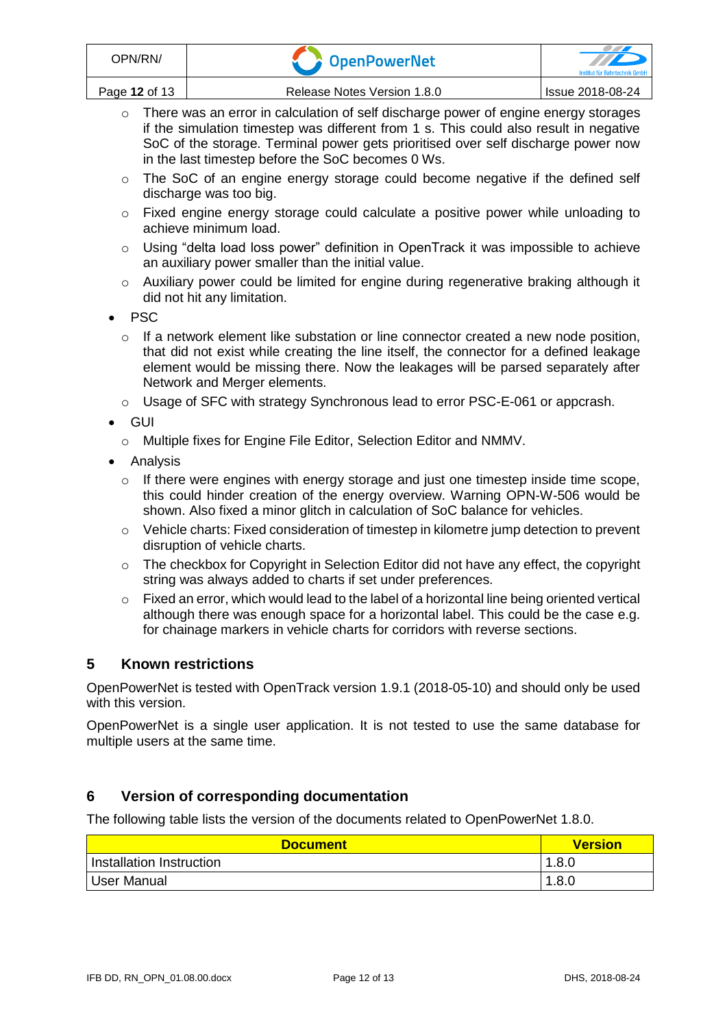- o There was an error in calculation of self discharge power of engine energy storages if the simulation timestep was different from 1 s. This could also result in negative SoC of the storage. Terminal power gets prioritised over self discharge power now in the last timestep before the SoC becomes 0 Ws.
- $\circ$  The SoC of an engine energy storage could become negative if the defined self discharge was too big.
- o Fixed engine energy storage could calculate a positive power while unloading to achieve minimum load.
- o Using "delta load loss power" definition in OpenTrack it was impossible to achieve an auxiliary power smaller than the initial value.
- $\circ$  Auxiliary power could be limited for engine during regenerative braking although it did not hit any limitation.
- PSC
	- o If a network element like substation or line connector created a new node position, that did not exist while creating the line itself, the connector for a defined leakage element would be missing there. Now the leakages will be parsed separately after Network and Merger elements.
	- o Usage of SFC with strategy Synchronous lead to error PSC-E-061 or appcrash.
- GUI
	- o Multiple fixes for Engine File Editor, Selection Editor and NMMV.
- Analysis
	- o If there were engines with energy storage and just one timestep inside time scope, this could hinder creation of the energy overview. Warning OPN-W-506 would be shown. Also fixed a minor glitch in calculation of SoC balance for vehicles.
	- $\circ$  Vehicle charts: Fixed consideration of timestep in kilometre jump detection to prevent disruption of vehicle charts.
	- $\circ$  The checkbox for Copyright in Selection Editor did not have any effect, the copyright string was always added to charts if set under preferences.
	- $\circ$  Fixed an error, which would lead to the label of a horizontal line being oriented vertical although there was enough space for a horizontal label. This could be the case e.g. for chainage markers in vehicle charts for corridors with reverse sections.

# **5 Known restrictions**

OpenPowerNet is tested with OpenTrack version 1.9.1 (2018-05-10) and should only be used with this version.

OpenPowerNet is a single user application. It is not tested to use the same database for multiple users at the same time.

# **6 Version of corresponding documentation**

The following table lists the version of the documents related to OpenPowerNet 1.8.0.

| <b>Document</b>          | <b>Version</b> |
|--------------------------|----------------|
| Installation Instruction | 1.8.0          |
| User Manual              | 1.8.0          |